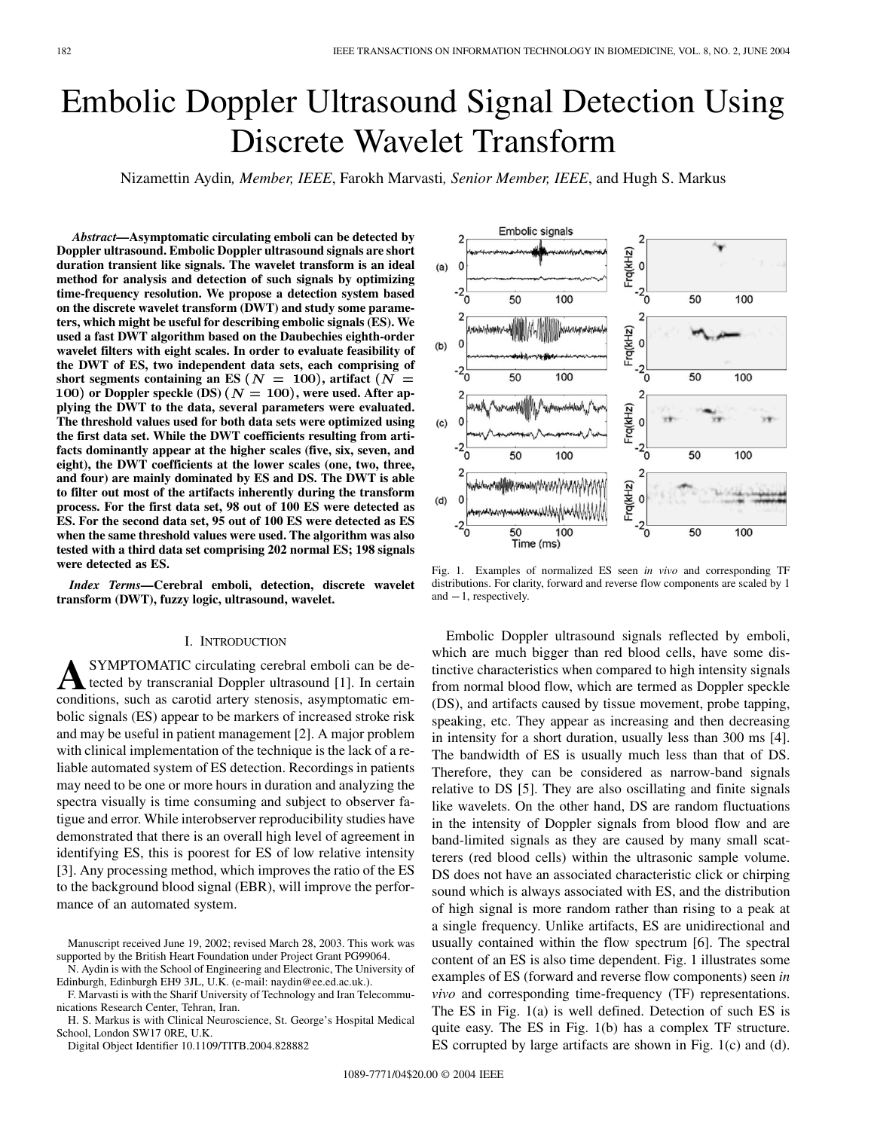# Embolic Doppler Ultrasound Signal Detection Using Discrete Wavelet Transform

Nizamettin Aydin*, Member, IEEE*, Farokh Marvasti*, Senior Member, IEEE*, and Hugh S. Markus

*Abstract—***Asymptomatic circulating emboli can be detected by Doppler ultrasound. Embolic Doppler ultrasound signals are short duration transient like signals. The wavelet transform is an ideal method for analysis and detection of such signals by optimizing time-frequency resolution. We propose a detection system based on the discrete wavelet transform (DWT) and study some parameters, which might be useful for describing embolic signals (ES). We used a fast DWT algorithm based on the Daubechies eighth-order wavelet filters with eight scales. In order to evaluate feasibility of the DWT of ES, two independent data sets, each comprising of** short segments containing an ES ( $N = 100$ ), artifact ( $N =$ 100) or Doppler speckle (DS)  $(N = 100)$ , were used. After ap**plying the DWT to the data, several parameters were evaluated. The threshold values used for both data sets were optimized using the first data set. While the DWT coefficients resulting from artifacts dominantly appear at the higher scales (five, six, seven, and eight), the DWT coefficients at the lower scales (one, two, three, and four) are mainly dominated by ES and DS. The DWT is able to filter out most of the artifacts inherently during the transform process. For the first data set, 98 out of 100 ES were detected as ES. For the second data set, 95 out of 100 ES were detected as ES when the same threshold values were used. The algorithm was also tested with a third data set comprising 202 normal ES; 198 signals were detected as ES.**

*Index Terms—***Cerebral emboli, detection, discrete wavelet transform (DWT), fuzzy logic, ultrasound, wavelet.**

## I. INTRODUCTION

**A**SYMPTOMATIC circulating cerebral emboli can be de-<br>tected by transcranial Doppler ultrasound [[1\]](#page-7-0). In certain conditions, such as carotid artery stenosis, asymptomatic embolic signals (ES) appear to be markers of increased stroke risk and may be useful in patient management [[2\]](#page-7-0). A major problem with clinical implementation of the technique is the lack of a reliable automated system of ES detection. Recordings in patients may need to be one or more hours in duration and analyzing the spectra visually is time consuming and subject to observer fatigue and error. While interobserver reproducibility studies have demonstrated that there is an overall high level of agreement in identifying ES, this is poorest for ES of low relative intensity [[3\]](#page-7-0). Any processing method, which improves the ratio of the ES to the background blood signal (EBR), will improve the performance of an automated system.

Manuscript received June 19, 2002; revised March 28, 2003. This work was supported by the British Heart Foundation under Project Grant PG99064.

N. Aydin is with the School of Engineering and Electronic, The University of Edinburgh, Edinburgh EH9 3JL, U.K. (e-mail: naydin@ee.ed.ac.uk.).

F. Marvasti is with the Sharif University of Technology and Iran Telecommunications Research Center, Tehran, Iran.

H. S. Markus is with Clinical Neuroscience, St. George's Hospital Medical School, London SW17 0RE, U.K.

Digital Object Identifier 10.1109/TITB.2004.828882

**Embolic signals** Frq(kHz)  $\Omega$ 0  $(a)$  $-2\frac{1}{0}$  $^{-2}$ <sub>0</sub> 50 100 50 100  $\overline{2}$  $\overline{2}$ Frq(kHz) **MARAMANIA** 0  $\mathbf 0$  $(b)$  $-2\frac{1}{0}$  $-2_{0}^{L}$ 100 50 50 100  $\overline{c}$ Frq(kHz)  $\Omega$ 0  $(c)$  $-2\frac{1}{0}$ 50 100 50 100 ٦O 2 Frq(kHz)  $\mathbf 0$  $(d)$  $^{-2}$ <sub>0</sub>  $\overline{50}$ 100 50 100 Time (ms)

Fig. 1. Examples of normalized ES seen *in vivo* and corresponding TF distributions. For clarity, forward and reverse flow components are scaled by 1 Fig. 1. Examples of<br>distributions. For clare<br>and -1, respectively.

Embolic Doppler ultrasound signals reflected by emboli, which are much bigger than red blood cells, have some distinctive characteristics when compared to high intensity signals from normal blood flow, which are termed as Doppler speckle (DS), and artifacts caused by tissue movement, probe tapping, speaking, etc. They appear as increasing and then decreasing in intensity for a short duration, usually less than 300 ms [[4\]](#page-7-0). The bandwidth of ES is usually much less than that of DS. Therefore, they can be considered as narrow-band signals relative to DS [\[5](#page-7-0)]. They are also oscillating and finite signals like wavelets. On the other hand, DS are random fluctuations in the intensity of Doppler signals from blood flow and are band-limited signals as they are caused by many small scatterers (red blood cells) within the ultrasonic sample volume. DS does not have an associated characteristic click or chirping sound which is always associated with ES, and the distribution of high signal is more random rather than rising to a peak at a single frequency. Unlike artifacts, ES are unidirectional and usually contained within the flow spectrum [[6\]](#page-7-0). The spectral content of an ES is also time dependent. Fig. 1 illustrates some examples of ES (forward and reverse flow components) seen *in vivo* and corresponding time-frequency (TF) representations. The ES in Fig. 1(a) is well defined. Detection of such ES is quite easy. The ES in Fig. 1(b) has a complex TF structure. ES corrupted by large artifacts are shown in Fig. 1(c) and (d).

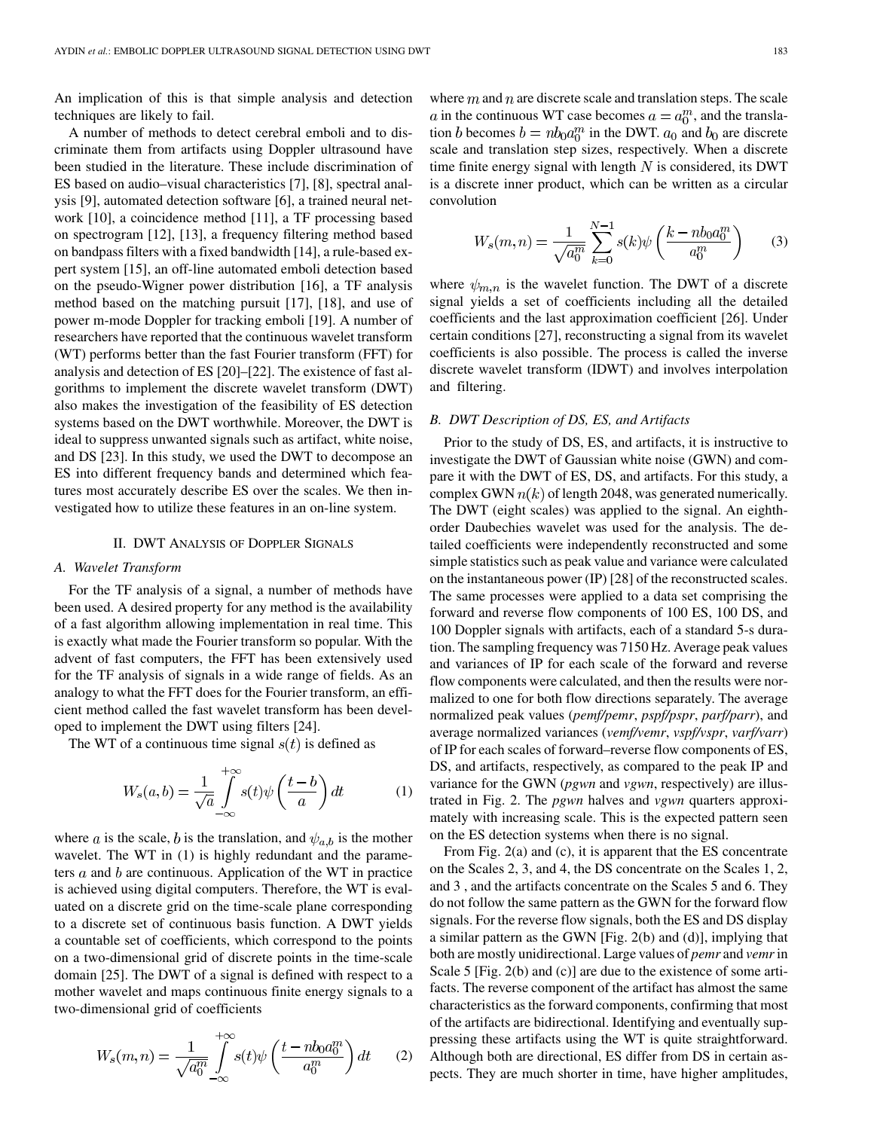An implication of this is that simple analysis and detection techniques are likely to fail.

A number of methods to detect cerebral emboli and to discriminate them from artifacts using Doppler ultrasound have been studied in the literature. These include discrimination of ES based on audio–visual characteristics [[7\]](#page-7-0), [[8\]](#page-7-0), spectral analysis [\[9](#page-7-0)], automated detection software [[6\]](#page-7-0), a trained neural network [\[10](#page-7-0)], a coincidence method [\[11](#page-7-0)], a TF processing based on spectrogram [[12\]](#page-7-0), [\[13](#page-7-0)], a frequency filtering method based on bandpass filters with a fixed bandwidth [[14\]](#page-7-0), a rule-based expert system [[15\]](#page-7-0), an off-line automated emboli detection based on the pseudo-Wigner power distribution [[16\]](#page-7-0), a TF analysis method based on the matching pursuit [\[17](#page-7-0)], [\[18](#page-7-0)], and use of power m-mode Doppler for tracking emboli [[19\]](#page-7-0). A number of researchers have reported that the continuous wavelet transform (WT) performs better than the fast Fourier transform (FFT) for analysis and detection of ES [\[20](#page-7-0)]–[[22\]](#page-7-0). The existence of fast algorithms to implement the discrete wavelet transform (DWT) also makes the investigation of the feasibility of ES detection systems based on the DWT worthwhile. Moreover, the DWT is ideal to suppress unwanted signals such as artifact, white noise, and DS [[23\]](#page-7-0). In this study, we used the DWT to decompose an ES into different frequency bands and determined which features most accurately describe ES over the scales. We then investigated how to utilize these features in an on-line system.

## II. DWT ANALYSIS OF DOPPLER SIGNALS

## *A. Wavelet Transform*

For the TF analysis of a signal, a number of methods have been used. A desired property for any method is the availability of a fast algorithm allowing implementation in real time. This is exactly what made the Fourier transform so popular. With the advent of fast computers, the FFT has been extensively used for the TF analysis of signals in a wide range of fields. As an analogy to what the FFT does for the Fourier transform, an efficient method called the fast wavelet transform has been developed to implement the DWT using filters [[24\]](#page-7-0).

The WT of a continuous time signal  $s(t)$  is defined as

$$
W_s(a,b) = \frac{1}{\sqrt{a}} \int_{-\infty}^{+\infty} s(t) \psi\left(\frac{t-b}{a}\right) dt \tag{1}
$$

where a is the scale, b is the translation, and  $\psi_{a,b}$  is the mother wavelet. The WT in (1) is highly redundant and the parameters  $\alpha$  and  $\beta$  are continuous. Application of the WT in practice is achieved using digital computers. Therefore, the WT is evaluated on a discrete grid on the time-scale plane corresponding to a discrete set of continuous basis function. A DWT yields a countable set of coefficients, which correspond to the points on a two-dimensional grid of discrete points in the time-scale domain [\[25](#page-7-0)]. The DWT of a signal is defined with respect to a mother wavelet and maps continuous finite energy signals to a two-dimensional grid of coefficients

$$
W_s(m,n) = \frac{1}{\sqrt{a_0^m}} \int_{-\infty}^{+\infty} s(t) \psi\left(\frac{t - nb_0 a_0^m}{a_0^m}\right) dt \qquad (2)
$$

where  $m$  and  $n$  are discrete scale and translation steps. The scale a in the continuous WT case becomes  $a = a_0^m$ , and the translation b becomes  $b = nb_0a_0^m$  in the DWT.  $a_0$  and  $b_0$  are discrete scale and translation step sizes, respectively. When a discrete time finite energy signal with length  $N$  is considered, its DWT is a discrete inner product, which can be written as a circular convolution

$$
W_s(m,n) = \frac{1}{\sqrt{a_0^m}} \sum_{k=0}^{N-1} s(k) \psi\left(\frac{k - nb_0 a_0^m}{a_0^m}\right) \tag{3}
$$

where  $\psi_{m,n}$  is the wavelet function. The DWT of a discrete signal yields a set of coefficients including all the detailed coefficients and the last approximation coefficient [[26\]](#page-7-0). Under certain conditions [[27\]](#page-7-0), reconstructing a signal from its wavelet coefficients is also possible. The process is called the inverse discrete wavelet transform (IDWT) and involves interpolation and filtering.

## *B. DWT Description of DS, ES, and Artifacts*

Prior to the study of DS, ES, and artifacts, it is instructive to investigate the DWT of Gaussian white noise (GWN) and compare it with the DWT of ES, DS, and artifacts. For this study, a complex GWN  $n(k)$  of length 2048, was generated numerically. The DWT (eight scales) was applied to the signal. An eighthorder Daubechies wavelet was used for the analysis. The detailed coefficients were independently reconstructed and some simple statistics such as peak value and variance were calculated on the instantaneous power (IP) [[28\]](#page-7-0) of the reconstructed scales. The same processes were applied to a data set comprising the forward and reverse flow components of 100 ES, 100 DS, and 100 Doppler signals with artifacts, each of a standard 5-s duration. The sampling frequency was 7150 Hz. Average peak values and variances of IP for each scale of the forward and reverse flow components were calculated, and then the results were normalized to one for both flow directions separately. The average normalized peak values (*pemf/pemr*, *pspf/pspr*, *parf/parr*), and average normalized variances (*vemf/vemr*, *vspf/vspr*, *varf/varr*) of IP for each scales of forward–reverse flow components of ES, DS, and artifacts, respectively, as compared to the peak IP and variance for the GWN (*pgwn* and *vgwn*, respectively) are illustrated in Fig. 2. The *pgwn* halves and *vgwn* quarters approximately with increasing scale. This is the expected pattern seen on the ES detection systems when there is no signal.

From Fig. 2(a) and (c), it is apparent that the ES concentrate on the Scales 2, 3, and 4, the DS concentrate on the Scales 1, 2, and 3 , and the artifacts concentrate on the Scales 5 and 6. They do not follow the same pattern as the GWN for the forward flow signals. For the reverse flow signals, both the ES and DS display a similar pattern as the GWN [Fig. 2(b) and (d)], implying that both are mostly unidirectional. Large values of *pemr* and *vemr*in Scale 5 [Fig. 2(b) and (c)] are due to the existence of some artifacts. The reverse component of the artifact has almost the same characteristics as the forward components, confirming that most of the artifacts are bidirectional. Identifying and eventually suppressing these artifacts using the WT is quite straightforward. Although both are directional, ES differ from DS in certain aspects. They are much shorter in time, have higher amplitudes,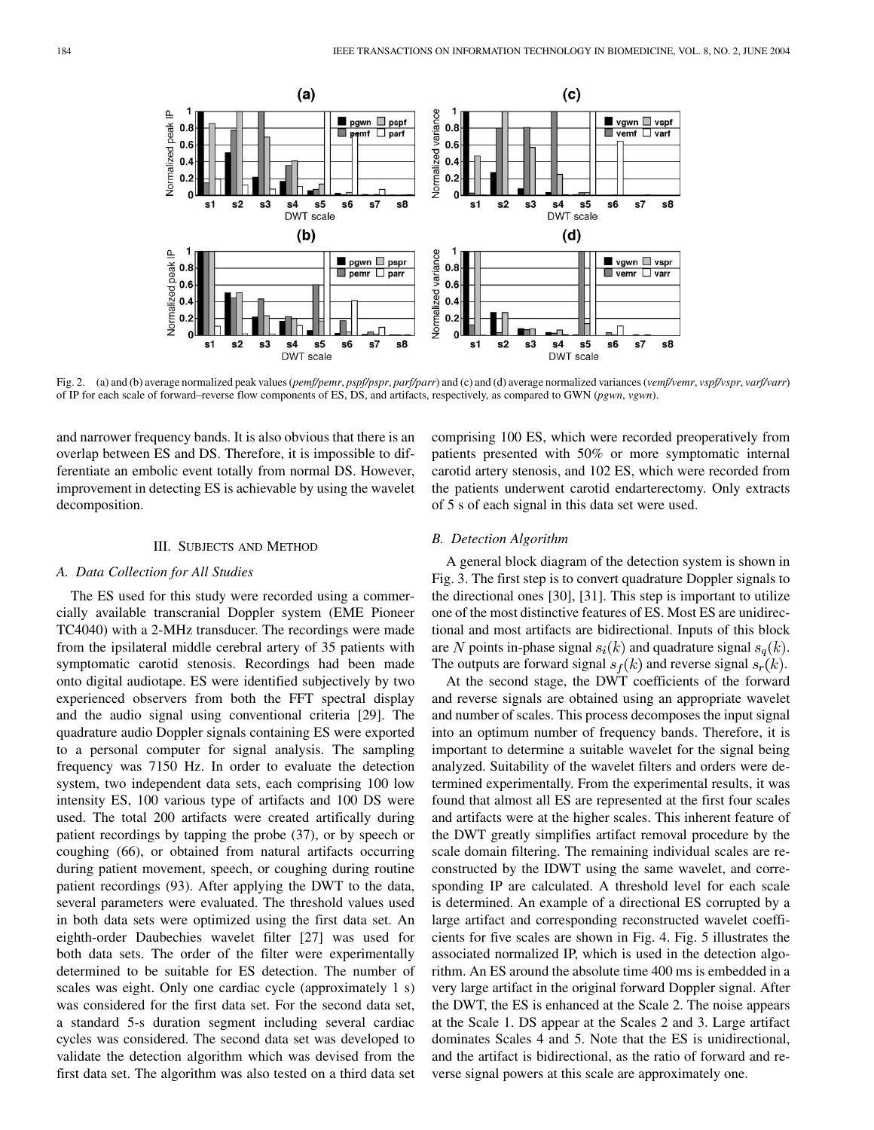

Fig. 2. (a) and (b) average normalized peak values (*pemf/pemr*, *pspf/pspr*, *parf/parr*) and (c) and (d) average normalized variances (*vemf/vemr*, *vspf/vspr*, *varf/varr*) of IP for each scale of forward–reverse flow components of ES, DS, and artifacts, respectively, as compared to GWN (*pgwn*, *vgwn*).

and narrower frequency bands. It is also obvious that there is an overlap between ES and DS. Therefore, it is impossible to differentiate an embolic event totally from normal DS. However, improvement in detecting ES is achievable by using the wavelet decomposition.

## III. SUBJECTS AND METHOD

## *A. Data Collection for All Studies*

The ES used for this study were recorded using a commercially available transcranial Doppler system (EME Pioneer TC4040) with a 2-MHz transducer. The recordings were made from the ipsilateral middle cerebral artery of 35 patients with symptomatic carotid stenosis. Recordings had been made onto digital audiotape. ES were identified subjectively by two experienced observers from both the FFT spectral display and the audio signal using conventional criteria [[29\]](#page-7-0). The quadrature audio Doppler signals containing ES were exported to a personal computer for signal analysis. The sampling frequency was 7150 Hz. In order to evaluate the detection system, two independent data sets, each comprising 100 low intensity ES, 100 various type of artifacts and 100 DS were used. The total 200 artifacts were created artifically during patient recordings by tapping the probe (37), or by speech or coughing (66), or obtained from natural artifacts occurring during patient movement, speech, or coughing during routine patient recordings (93). After applying the DWT to the data, several parameters were evaluated. The threshold values used in both data sets were optimized using the first data set. An eighth-order Daubechies wavelet filter [\[27](#page-7-0)] was used for both data sets. The order of the filter were experimentally determined to be suitable for ES detection. The number of scales was eight. Only one cardiac cycle (approximately 1 s) was considered for the first data set. For the second data set, a standard 5-s duration segment including several cardiac cycles was considered. The second data set was developed to validate the detection algorithm which was devised from the first data set. The algorithm was also tested on a third data set comprising 100 ES, which were recorded preoperatively from patients presented with 50% or more symptomatic internal carotid artery stenosis, and 102 ES, which were recorded from the patients underwent carotid endarterectomy. Only extracts of 5 s of each signal in this data set were used.

## *B. Detection Algorithm*

A general block diagram of the detection system is shown in Fig. 3. The first step is to convert quadrature Doppler signals to the directional ones [\[30](#page-7-0)], [\[31](#page-7-0)]. This step is important to utilize one of the most distinctive features of ES. Most ES are unidirectional and most artifacts are bidirectional. Inputs of this block are N points in-phase signal  $s_i(k)$  and quadrature signal  $s_a(k)$ . The outputs are forward signal  $s_f(k)$  and reverse signal  $s_r(k)$ .

At the second stage, the DWT coefficients of the forward and reverse signals are obtained using an appropriate wavelet and number of scales. This process decomposes the input signal into an optimum number of frequency bands. Therefore, it is important to determine a suitable wavelet for the signal being analyzed. Suitability of the wavelet filters and orders were determined experimentally. From the experimental results, it was found that almost all ES are represented at the first four scales and artifacts were at the higher scales. This inherent feature of the DWT greatly simplifies artifact removal procedure by the scale domain filtering. The remaining individual scales are reconstructed by the IDWT using the same wavelet, and corresponding IP are calculated. A threshold level for each scale is determined. An example of a directional ES corrupted by a large artifact and corresponding reconstructed wavelet coefficients for five scales are shown in Fig. 4. Fig. 5 illustrates the associated normalized IP, which is used in the detection algorithm. An ES around the absolute time 400 ms is embedded in a very large artifact in the original forward Doppler signal. After the DWT, the ES is enhanced at the Scale 2. The noise appears at the Scale 1. DS appear at the Scales 2 and 3. Large artifact dominates Scales 4 and 5. Note that the ES is unidirectional, and the artifact is bidirectional, as the ratio of forward and reverse signal powers at this scale are approximately one.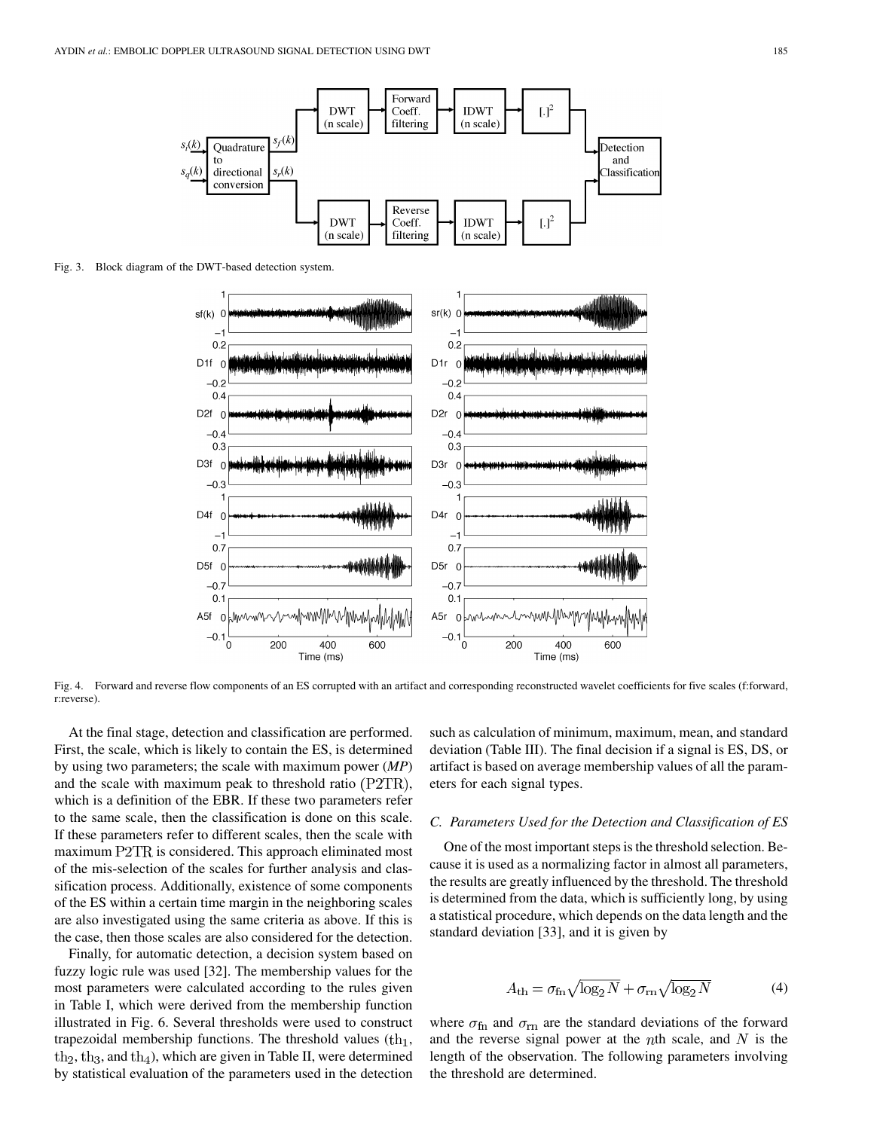

Fig. 3. Block diagram of the DWT-based detection system.



Fig. 4. Forward and reverse flow components of an ES corrupted with an artifact and corresponding reconstructed wavelet coefficients for five scales (f:forward, r:reverse).

At the final stage, detection and classification are performed. First, the scale, which is likely to contain the ES, is determined by using two parameters; the scale with maximum power (*MP*) and the scale with maximum peak to threshold ratio  $(P2TR)$ , which is a definition of the EBR. If these two parameters refer to the same scale, then the classification is done on this scale. If these parameters refer to different scales, then the scale with maximum  $P2TR$  is considered. This approach eliminated most of the mis-selection of the scales for further analysis and classification process. Additionally, existence of some components of the ES within a certain time margin in the neighboring scales are also investigated using the same criteria as above. If this is the case, then those scales are also considered for the detection.

Finally, for automatic detection, a decision system based on fuzzy logic rule was used [\[32](#page-7-0)]. The membership values for the most parameters were calculated according to the rules given in Table I, which were derived from the membership function illustrated in Fig. 6. Several thresholds were used to construct trapezoidal membership functions. The threshold values  $\th_1$ ,  $\th_2$ ,  $\th_3$ , and  $\th_4$ ), which are given in Table II, were determined by statistical evaluation of the parameters used in the detection such as calculation of minimum, maximum, mean, and standard deviation (Table III). The final decision if a signal is ES, DS, or artifact is based on average membership values of all the parameters for each signal types.

#### *C. Parameters Used for the Detection and Classification of ES*

One of the most important steps is the threshold selection. Because it is used as a normalizing factor in almost all parameters, the results are greatly influenced by the threshold. The threshold is determined from the data, which is sufficiently long, by using a statistical procedure, which depends on the data length and the standard deviation [\[33](#page-7-0)], and it is given by

$$
A_{\rm th} = \sigma_{\rm fin} \sqrt{\log_2 N} + \sigma_{\rm rn} \sqrt{\log_2 N} \tag{4}
$$

where  $\sigma_{\text{fn}}$  and  $\sigma_{\text{rn}}$  are the standard deviations of the forward and the reverse signal power at the *n*th scale, and  $N$  is the length of the observation. The following parameters involving the threshold are determined.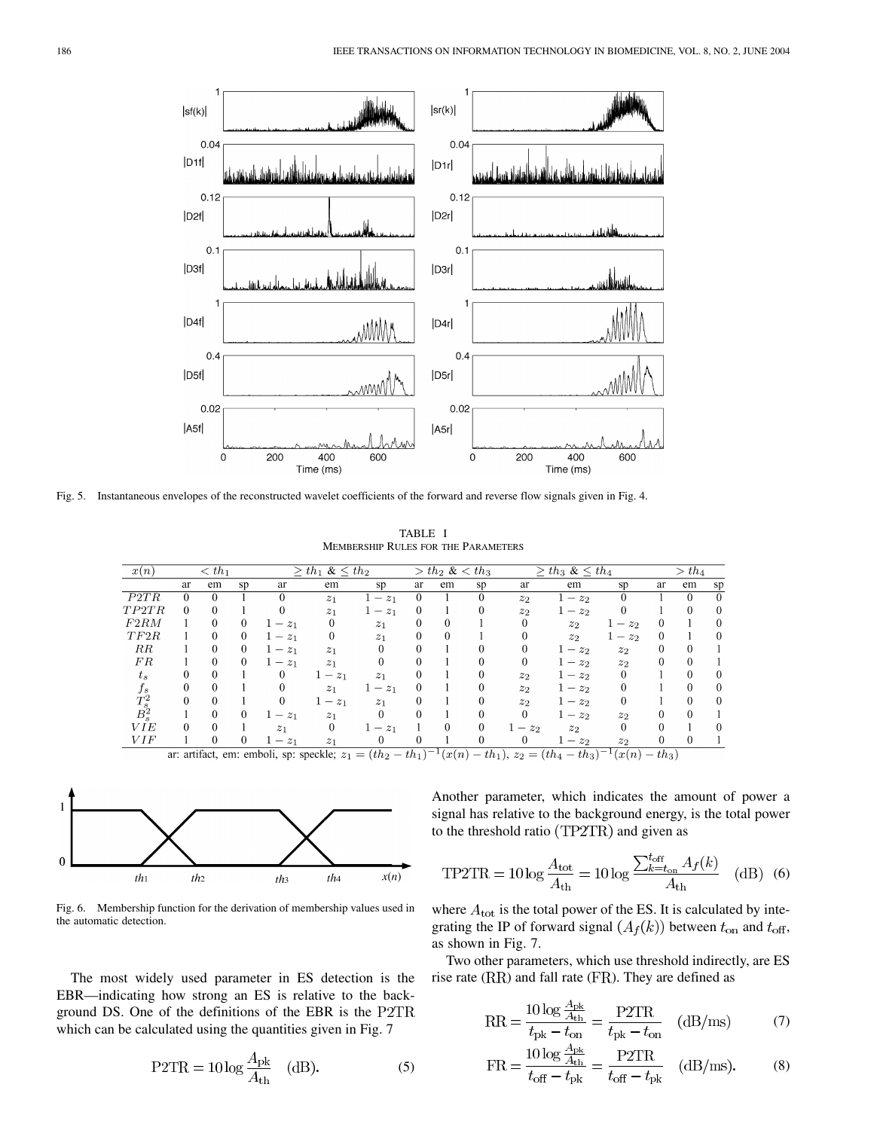

Fig. 5. Instantaneous envelopes of the reconstructed wavelet coefficients of the forward and reverse flow signals given in Fig. 4.

TABLE I MEMBERSHIP RULES FOR THE PARAMETERS

| x(n)                                                                                                                                                                                                                                   |    | $th1$    |    |                                                    | $\geq th_1 \& \leq th_2$                           |                                             |    | $> th_2 \< th_3$ |    |                | $\geq th_3 \& \leq \overline{th_4}$      |                                            |    | $> th_4$ |    |
|----------------------------------------------------------------------------------------------------------------------------------------------------------------------------------------------------------------------------------------|----|----------|----|----------------------------------------------------|----------------------------------------------------|---------------------------------------------|----|------------------|----|----------------|------------------------------------------|--------------------------------------------|----|----------|----|
|                                                                                                                                                                                                                                        | ar | em       | sp | ar                                                 | em                                                 | sp                                          | ar | em               | sp | ar             | em                                       | sp                                         | ar | em       | sp |
| $\overline{P2TR}$                                                                                                                                                                                                                      | 0  |          |    |                                                    | $z_1$                                              | $- z_1$                                     |    |                  | 0  | $z_2$          | $-z2$                                    |                                            |    |          |    |
| TP2TR                                                                                                                                                                                                                                  | 0  |          |    |                                                    | $\overline{z_1}$                                   | $- z_1$                                     |    |                  | 0  | z <sub>2</sub> | $-z_2$                                   |                                            |    |          |    |
| F2RM                                                                                                                                                                                                                                   |    |          | 0  | $\mathcal{Z}$ 1<br>$\overline{\phantom{a}}$        |                                                    | $z_1$                                       |    |                  |    |                | z <sub>2</sub>                           | z <sub>2</sub><br>$\overline{\phantom{0}}$ |    |          |    |
| TF2R                                                                                                                                                                                                                                   |    |          | 0  | $\mathcal{Z}$ 1<br>$\hspace{0.1mm}-\hspace{0.1mm}$ |                                                    | $z_1$                                       |    |                  |    |                | $z_2$                                    | z <sub>2</sub><br>$\overline{\phantom{a}}$ |    |          |    |
| $_{RR}$                                                                                                                                                                                                                                |    | 0        | 0  | $\mathcal{Z}$ 1<br>$\hspace{0.1mm}-\hspace{0.1mm}$ | $\overline{z}_1$                                   | 0                                           |    |                  |    |                | $z_2$<br>$\hspace{0.1mm}-\hspace{0.1mm}$ | $z_2$                                      |    | O        |    |
| FR                                                                                                                                                                                                                                     |    |          | 0  | $\overline{z_1}$<br>$\hspace{0.05cm}$              | $\mathcal{Z}$ 1                                    |                                             |    |                  |    |                | $z_2$<br>$\hspace{0.05cm}$               | z <sub>2</sub>                             |    |          |    |
| $t_{s}$                                                                                                                                                                                                                                |    |          |    |                                                    | $\mathcal{Z}$ 1<br>$\overline{\phantom{0}}$        | $z_1$                                       |    |                  |    | $z_2$          | $-z_2$                                   |                                            |    |          |    |
| $J_{\mathcal{S}}$                                                                                                                                                                                                                      |    |          |    |                                                    | $\overline{z}$ 1                                   | $\mathcal{Z}$ 1<br>$\overline{\phantom{a}}$ |    |                  |    | z <sub>2</sub> | $-z2$                                    |                                            |    |          |    |
|                                                                                                                                                                                                                                        |    |          |    |                                                    | $\mathcal{Z}$ 1<br>$\hspace{0.1mm}-\hspace{0.1mm}$ | $\overline{z_1}$                            |    |                  |    | z <sub>2</sub> | $-z_2$                                   |                                            |    |          |    |
| $T_s^2$<br>$B_s^2$                                                                                                                                                                                                                     |    |          | 0  | $\mathcal{Z}$ 1<br>$\hspace{0.05cm}$               | $\overline{z}_1$                                   |                                             |    |                  |    |                | $-z_2$                                   | z <sub>2</sub>                             |    |          |    |
| VIE                                                                                                                                                                                                                                    |    |          |    | $\mathcal{Z}$ 1                                    | 0                                                  | $- z_1$                                     |    |                  | 0  | $-z_2$         | $z_2$                                    |                                            |    |          |    |
| VIF                                                                                                                                                                                                                                    |    | $^{(1)}$ | 0  | $z_1$<br>$\hspace{0.1mm}-\hspace{0.1mm}$           | $\overline{z}_1$                                   | 0                                           |    |                  | 0  | O              | $-z_2$                                   | $z_2$                                      |    | $\theta$ |    |
| ar: artifact, em: emboli, sp: speckle; $z_1 = (th_2 - th_1)$<br>$(th_4)$<br>$th_3$<br>$th_1$ ,<br>$th_3$<br>(x(n)<br>(x(n)<br>$z_2 =$<br>$\overline{\phantom{a}}$<br>$\hspace{0.1mm}-\hspace{0.1mm}$<br>$\qquad \qquad \longleftarrow$ |    |          |    |                                                    |                                                    |                                             |    |                  |    |                |                                          |                                            |    |          |    |



Fig. 6. Membership function for the derivation of membership values used in the automatic detection.

The most widely used parameter in ES detection is the EBR—indicating how strong an ES is relative to the background DS. One of the definitions of the EBR is the which can be calculated using the quantities given in Fig. 7

$$
P2TR = 10 \log \frac{A_{\text{pk}}}{A_{\text{th}}} \quad (\text{dB}). \tag{5}
$$

Another parameter, which indicates the amount of power a signal has relative to the background energy, is the total power to the threshold ratio (TP2TR) and given as

TP2TR = 
$$
10 \log \frac{A_{\text{tot}}}{A_{\text{th}}}
$$
 =  $10 \log \frac{\sum_{k=t_{\text{on}}}^{t_{\text{off}}} A_f(k)}{A_{\text{th}}}$  (dB) (6)

where  $A_{\text{tot}}$  is the total power of the ES. It is calculated by integrating the IP of forward signal  $(A_f(k))$  between  $t_{on}$  and  $t_{off}$ , as shown in Fig. 7.

Two other parameters, which use threshold indirectly, are ES rise rate  $(RR)$  and fall rate  $(FR)$ . They are defined as

$$
RR = \frac{10 \log \frac{A_{\text{pk}}}{A_{\text{th}}}}{t_{\text{pk}} - t_{\text{on}}} = \frac{P2TR}{t_{\text{pk}} - t_{\text{on}}} \quad (\text{dB/ms}) \tag{7}
$$

$$
FR = \frac{10 \log \frac{2\mu}{A_{\text{th}}}}{t_{\text{off}} - t_{\text{pk}}} = \frac{P2TR}{t_{\text{off}} - t_{\text{pk}}} \quad (\text{dB/ms}).\tag{8}
$$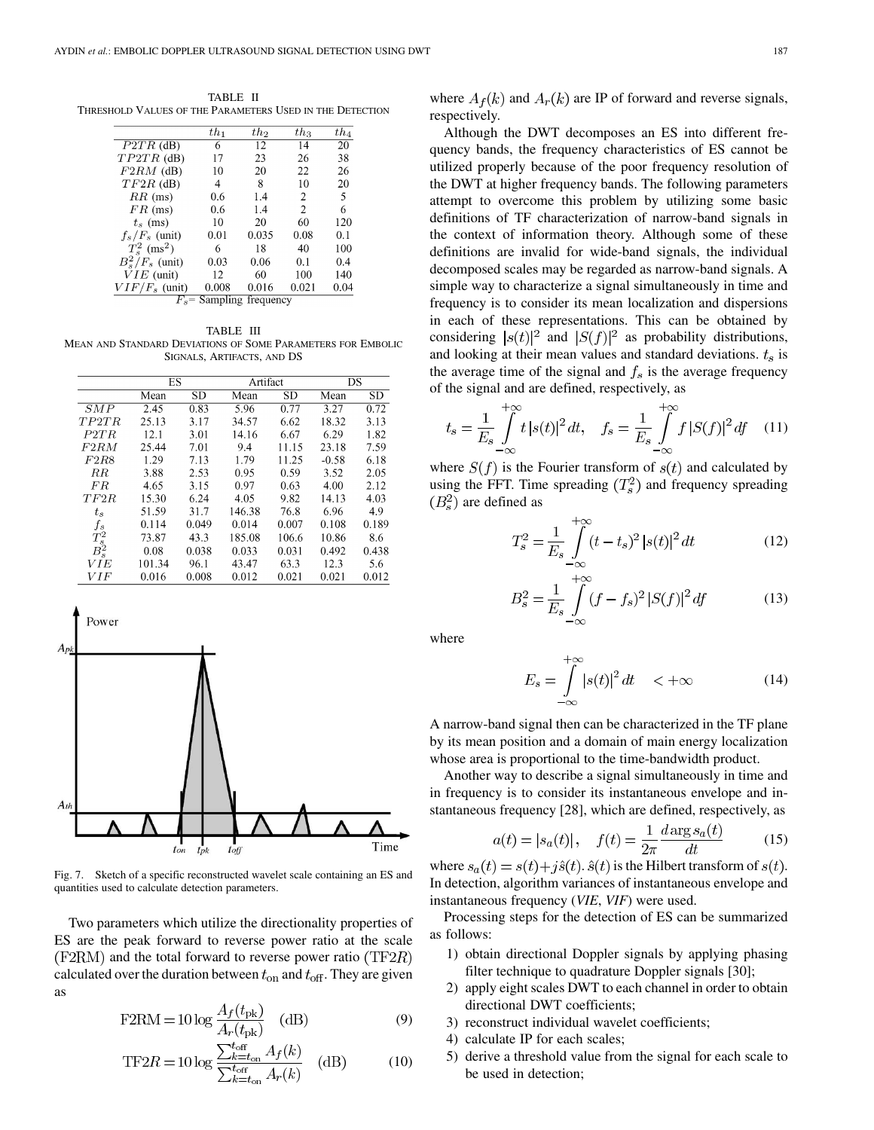TABLE II THRESHOLD VALUES OF THE PARAMETERS USED IN THE DETECTION

| th <sub>1</sub> | $th_2$          | $th_3$ | $th_4$ |
|-----------------|-----------------|--------|--------|
| 6               | $\overline{12}$ | 14     | 20     |
| 17              | 23              | 26     | 38     |
| 10              | 20              | 22     | 26     |
| 4               | 8               | 10     | 20     |
| 0.6             | 1.4             | 2      | 5      |
| 0.6             | 1.4             | 2      | 6      |
| 10              | 20              | 60     | 120    |
| 0.01            | 0.035           | 0.08   | 0.1    |
| 6               | 18              | 40     | 100    |
| 0.03            | 0.06            | 0.1    | 0.4    |
| 12              | 60              | 100    | 140    |
| 0.008           | 0.016           | 0.021  | 0.04   |
|                 |                 |        |        |

TABLE III MEAN AND STANDARD DEVIATIONS OF SOME PARAMETERS FOR EMBOLIC SIGNALS, ARTIFACTS, AND DS

|                       | ES     |       | Artifact |       | DS      |       |  |
|-----------------------|--------|-------|----------|-------|---------|-------|--|
|                       | Mean   | SD    | Mean     | SD    | Mean    | SD    |  |
| SMP                   | 2.45   | 0.83  | 5.96     | 0.77  | 3.27    | 0.72  |  |
| TP2TR                 | 25.13  | 3.17  | 34.57    | 6.62  | 18.32   | 3.13  |  |
| P2TR                  | 12.1   | 3.01  | 14.16    | 6.67  | 6.29    | 1.82  |  |
| F2RM                  | 25.44  | 7.01  | 94       | 11.15 | 23.18   | 7.59  |  |
| F2R8                  | 1.29   | 7.13  | 1.79     | 11.25 | $-0.58$ | 6.18  |  |
| RR.                   | 3.88   | 2.53  | 0.95     | 0.59  | 3.52    | 2.05  |  |
| FR                    | 4.65   | 3.15  | 0.97     | 0.63  | 4.00    | 2.12  |  |
| TF2R                  | 15.30  | 6.24  | 4.05     | 9.82  | 14.13   | 4.03  |  |
| $t_{s}$               | 51.59  | 31.7  | 146.38   | 76.8  | 6.96    | 4.9   |  |
| $f_s$                 | 0.114  | 0.049 | 0.014    | 0.007 | 0.108   | 0.189 |  |
| $\frac{T_s^2}{B_s^2}$ | 73.87  | 43.3  | 185.08   | 106.6 | 10.86   | 8.6   |  |
|                       | 0.08   | 0.038 | 0.033    | 0.031 | 0.492   | 0.438 |  |
| VIE                   | 101.34 | 96.1  | 43.47    | 63.3  | 12.3    | 5.6   |  |
| VIF                   | 0.016  | 0.008 | 0.012    | 0.021 | 0.021   | 0.012 |  |



Fig. 7. Sketch of a specific reconstructed wavelet scale containing an ES and quantities used to calculate detection parameters.

Two parameters which utilize the directionality properties of ES are the peak forward to reverse power ratio at the scale  $(F2RM)$  and the total forward to reverse power ratio  $(TF2R)$ calculated over the duration between  $t_{on}$  and  $t_{off}$ . They are given as

$$
F2RM = 10 \log \frac{A_f(t_{\rm pk})}{A_r(t_{\rm pk})} \quad (\text{dB}) \tag{9}
$$

$$
\text{TF2}R = 10\log \frac{\sum_{k=t_{\text{on}}}^{L_{\text{off}}} A_f(k)}{\sum_{k=t_{\text{on}}}^{L_{\text{off}}} A_r(k)} \quad \text{(dB)} \tag{10}
$$

where  $A_f(k)$  and  $A_r(k)$  are IP of forward and reverse signals, respectively.

Although the DWT decomposes an ES into different frequency bands, the frequency characteristics of ES cannot be utilized properly because of the poor frequency resolution of the DWT at higher frequency bands. The following parameters attempt to overcome this problem by utilizing some basic definitions of TF characterization of narrow-band signals in the context of information theory. Although some of these definitions are invalid for wide-band signals, the individual decomposed scales may be regarded as narrow-band signals. A simple way to characterize a signal simultaneously in time and frequency is to consider its mean localization and dispersions in each of these representations. This can be obtained by considering  $|s(t)|^2$  and  $|S(f)|^2$  as probability distributions, and looking at their mean values and standard deviations.  $t_s$  is the average time of the signal and  $f_s$  is the average frequency of the signal and are defined, respectively, as

$$
t_s = \frac{1}{E_s} \int_{-\infty}^{+\infty} t |s(t)|^2 dt, \quad f_s = \frac{1}{E_s} \int_{-\infty}^{+\infty} f |S(f)|^2 df \quad (11)
$$

where  $S(f)$  is the Fourier transform of  $s(t)$  and calculated by using the FFT. Time spreading  $(T_s^2)$  and frequency spreading  $(B_s^2)$  are defined as

$$
T_s^2 = \frac{1}{E_s} \int_{-\infty}^{+\infty} (t - t_s)^2 |s(t)|^2 dt
$$
 (12)

$$
B_s^2 = \frac{1}{E_s} \int_{-\infty}^{+\infty} (f - f_s)^2 |S(f)|^2 df
$$
 (13)

where

$$
E_s = \int_{-\infty}^{+\infty} |s(t)|^2 dt \quad < +\infty \tag{14}
$$

A narrow-band signal then can be characterized in the TF plane by its mean position and a domain of main energy localization whose area is proportional to the time-bandwidth product.

Another way to describe a signal simultaneously in time and in frequency is to consider its instantaneous envelope and instantaneous frequency [[28\]](#page-7-0), which are defined, respectively, as

$$
a(t) = |s_a(t)|, \quad f(t) = \frac{1}{2\pi} \frac{d \arg s_a(t)}{dt}
$$
 (15)

where  $s_a(t) = s(t) + j\hat{s}(t)$ .  $\hat{s}(t)$  is the Hilbert transform of  $s(t)$ . In detection, algorithm variances of instantaneous envelope and instantaneous frequency (*VIE*, *VIF*) were used.

Processing steps for the detection of ES can be summarized as follows:

- 1) obtain directional Doppler signals by applying phasing filter technique to quadrature Doppler signals [\[30](#page-7-0)];
- 2) apply eight scales DWT to each channel in order to obtain directional DWT coefficients;
- 3) reconstruct individual wavelet coefficients;
- 4) calculate IP for each scales;
- 5) derive a threshold value from the signal for each scale to be used in detection;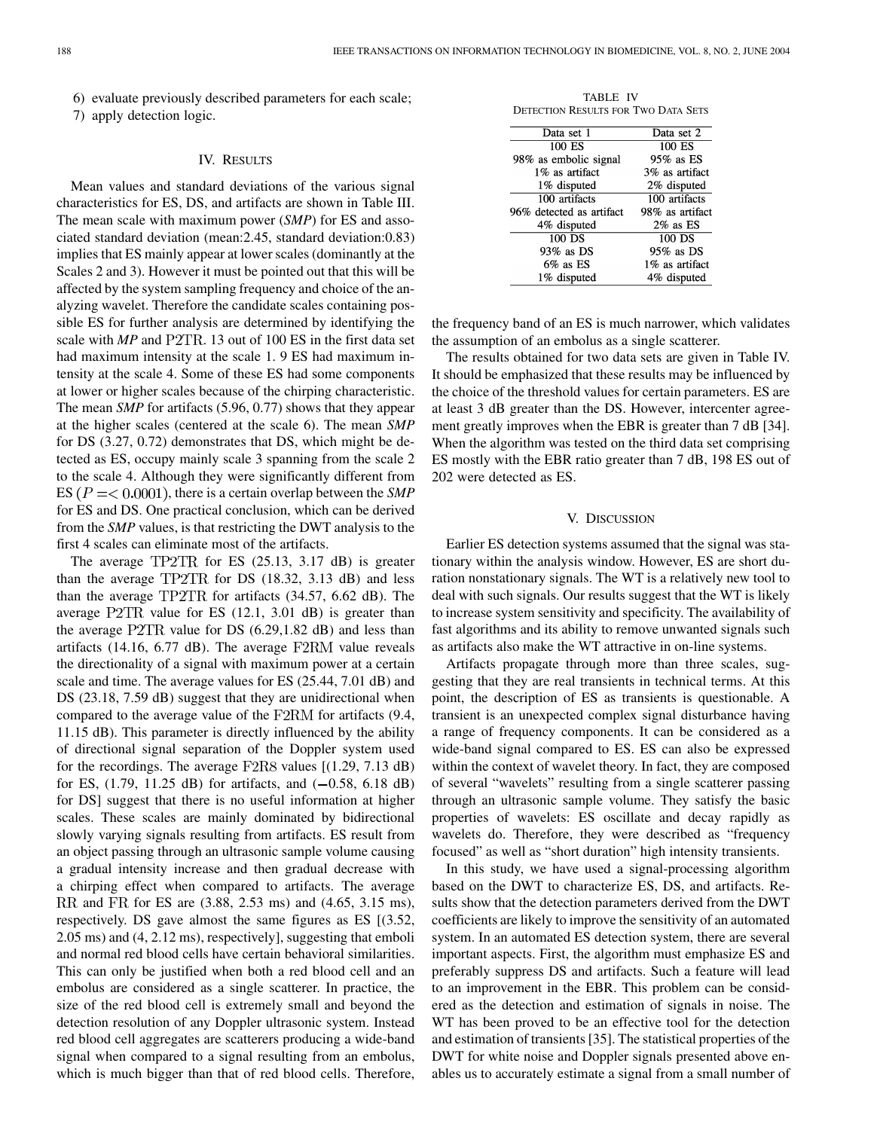6) evaluate previously described parameters for each scale;

7) apply detection logic.

#### IV. RESULTS

Mean values and standard deviations of the various signal characteristics for ES, DS, and artifacts are shown in Table III. The mean scale with maximum power (*SMP*) for ES and associated standard deviation (mean:2.45, standard deviation:0.83) implies that ES mainly appear at lower scales (dominantly at the Scales 2 and 3). However it must be pointed out that this will be affected by the system sampling frequency and choice of the analyzing wavelet. Therefore the candidate scales containing possible ES for further analysis are determined by identifying the scale with *MP* and P2TR. 13 out of 100 ES in the first data set had maximum intensity at the scale 1.9 ES had maximum intensity at the scale 4. Some of these ES had some components at lower or higher scales because of the chirping characteristic. The mean *SMP* for artifacts (5.96, 0.77) shows that they appear at the higher scales (centered at the scale 6). The mean *SMP* for DS (3.27, 0.72) demonstrates that DS, which might be detected as ES, occupy mainly scale 3 spanning from the scale 2 to the scale 4. Although they were significantly different from ES  $(P = < 0.0001)$ , there is a certain overlap between the *SMP* for ES and DS. One practical conclusion, which can be derived from the *SMP* values, is that restricting the DWT analysis to the first 4 scales can eliminate most of the artifacts.

The average  $TP2TR$  for ES (25.13, 3.17 dB) is greater than the average  $TP2TR$  for DS (18.32, 3.13 dB) and less than the average  $TP2TR$  for artifacts (34.57, 6.62 dB). The average  $P2TR$  value for ES (12.1, 3.01 dB) is greater than the average  $P2TR$  value for DS (6.29,1.82 dB) and less than artifacts (14.16, 6.77 dB). The average  $F2RM$  value reveals the directionality of a signal with maximum power at a certain scale and time. The average values for ES (25.44, 7.01 dB) and DS (23.18, 7.59 dB) suggest that they are unidirectional when compared to the average value of the  $F2RM$  for artifacts (9.4, 11.15 dB). This parameter is directly influenced by the ability of directional signal separation of the Doppler system used for the recordings. The average  $F2R8$  values  $[(1.29, 7.13 \text{ dB})$ for ES,  $(1.79, 11.25 \text{ dB})$  for artifacts, and  $(-0.58, 6.18 \text{ dB})$ for DS] suggest that there is no useful information at higher scales. These scales are mainly dominated by bidirectional slowly varying signals resulting from artifacts. ES result from an object passing through an ultrasonic sample volume causing a gradual intensity increase and then gradual decrease with a chirping effect when compared to artifacts. The average RR and FR for ES are  $(3.88, 2.53 \text{ ms})$  and  $(4.65, 3.15 \text{ ms})$ , respectively. DS gave almost the same figures as ES [(3.52, 2.05 ms) and (4, 2.12 ms), respectively], suggesting that emboli and normal red blood cells have certain behavioral similarities. This can only be justified when both a red blood cell and an embolus are considered as a single scatterer. In practice, the size of the red blood cell is extremely small and beyond the detection resolution of any Doppler ultrasonic system. Instead red blood cell aggregates are scatterers producing a wide-band signal when compared to a signal resulting from an embolus, which is much bigger than that of red blood cells. Therefore,

TABLE IV DETECTION RESULTS FOR TWO DATA SETS

| Data set 1               | Data set 2          |
|--------------------------|---------------------|
| 100 ES                   | $100$ ES            |
| 98% as embolic signal    | 95% as ES           |
| 1% as artifact           | 3% as artifact      |
| 1% disputed              | 2% disputed         |
| 100 artifacts            | 100 artifacts       |
| 96% detected as artifact | 98% as artifact     |
| 4% disputed              | $2\%$ as ES         |
| $100$ DS                 | $\overline{100}$ DS |
| 93% as DS                | 95% as DS           |
| $6\%$ as ES              | 1% as artifact      |
| 1% disputed              | 4% disputed         |

the frequency band of an ES is much narrower, which validates the assumption of an embolus as a single scatterer.

The results obtained for two data sets are given in Table IV. It should be emphasized that these results may be influenced by the choice of the threshold values for certain parameters. ES are at least 3 dB greater than the DS. However, intercenter agree-ment greatly improves when the EBR is greater than 7 dB [[34\]](#page-7-0). When the algorithm was tested on the third data set comprising ES mostly with the EBR ratio greater than 7 dB, 198 ES out of 202 were detected as ES.

#### V. DISCUSSION

Earlier ES detection systems assumed that the signal was stationary within the analysis window. However, ES are short duration nonstationary signals. The WT is a relatively new tool to deal with such signals. Our results suggest that the WT is likely to increase system sensitivity and specificity. The availability of fast algorithms and its ability to remove unwanted signals such as artifacts also make the WT attractive in on-line systems.

Artifacts propagate through more than three scales, suggesting that they are real transients in technical terms. At this point, the description of ES as transients is questionable. A transient is an unexpected complex signal disturbance having a range of frequency components. It can be considered as a wide-band signal compared to ES. ES can also be expressed within the context of wavelet theory. In fact, they are composed of several "wavelets" resulting from a single scatterer passing through an ultrasonic sample volume. They satisfy the basic properties of wavelets: ES oscillate and decay rapidly as wavelets do. Therefore, they were described as "frequency focused" as well as "short duration" high intensity transients.

In this study, we have used a signal-processing algorithm based on the DWT to characterize ES, DS, and artifacts. Results show that the detection parameters derived from the DWT coefficients are likely to improve the sensitivity of an automated system. In an automated ES detection system, there are several important aspects. First, the algorithm must emphasize ES and preferably suppress DS and artifacts. Such a feature will lead to an improvement in the EBR. This problem can be considered as the detection and estimation of signals in noise. The WT has been proved to be an effective tool for the detection and estimation of transients [[35](#page-7-0)]. The statistical properties of the DWT for white noise and Doppler signals presented above enables us to accurately estimate a signal from a small number of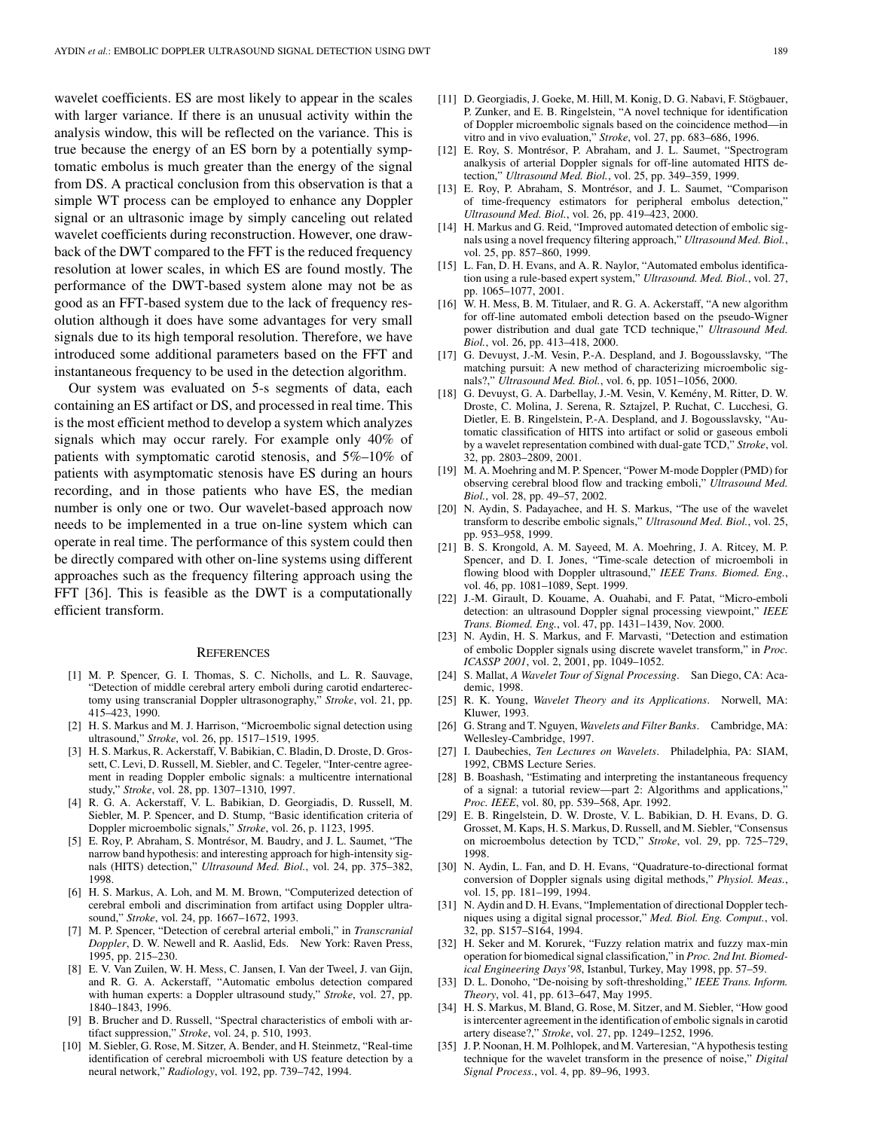<span id="page-7-0"></span>wavelet coefficients. ES are most likely to appear in the scales with larger variance. If there is an unusual activity within the analysis window, this will be reflected on the variance. This is true because the energy of an ES born by a potentially symptomatic embolus is much greater than the energy of the signal from DS. A practical conclusion from this observation is that a simple WT process can be employed to enhance any Doppler signal or an ultrasonic image by simply canceling out related wavelet coefficients during reconstruction. However, one drawback of the DWT compared to the FFT is the reduced frequency resolution at lower scales, in which ES are found mostly. The performance of the DWT-based system alone may not be as good as an FFT-based system due to the lack of frequency resolution although it does have some advantages for very small signals due to its high temporal resolution. Therefore, we have introduced some additional parameters based on the FFT and instantaneous frequency to be used in the detection algorithm.

Our system was evaluated on 5-s segments of data, each containing an ES artifact or DS, and processed in real time. This is the most efficient method to develop a system which analyzes signals which may occur rarely. For example only 40% of patients with symptomatic carotid stenosis, and 5%–10% of patients with asymptomatic stenosis have ES during an hours recording, and in those patients who have ES, the median number is only one or two. Our wavelet-based approach now needs to be implemented in a true on-line system which can operate in real time. The performance of this system could then be directly compared with other on-line systems using different approaches such as the frequency filtering approach using the FFT [[36\]](#page-8-0). This is feasible as the DWT is a computationally efficient transform.

#### **REFERENCES**

- [1] M. P. Spencer, G. I. Thomas, S. C. Nicholls, and L. R. Sauvage, "Detection of middle cerebral artery emboli during carotid endarterectomy using transcranial Doppler ultrasonography," *Stroke*, vol. 21, pp. 415–423, 1990.
- [2] H. S. Markus and M. J. Harrison, "Microembolic signal detection using ultrasound," *Stroke*, vol. 26, pp. 1517–1519, 1995.
- [3] H. S. Markus, R. Ackerstaff, V. Babikian, C. Bladin, D. Droste, D. Grossett, C. Levi, D. Russell, M. Siebler, and C. Tegeler, "Inter-centre agreement in reading Doppler embolic signals: a multicentre international study," *Stroke*, vol. 28, pp. 1307–1310, 1997.
- [4] R. G. A. Ackerstaff, V. L. Babikian, D. Georgiadis, D. Russell, M. Siebler, M. P. Spencer, and D. Stump, "Basic identification criteria of Doppler microembolic signals," *Stroke*, vol. 26, p. 1123, 1995.
- [5] E. Roy, P. Abraham, S. Montrésor, M. Baudry, and J. L. Saumet, "The narrow band hypothesis: and interesting approach for high-intensity signals (HITS) detection," *Ultrasound Med. Biol.*, vol. 24, pp. 375–382, 1998.
- [6] H. S. Markus, A. Loh, and M. M. Brown, "Computerized detection of cerebral emboli and discrimination from artifact using Doppler ultrasound," *Stroke*, vol. 24, pp. 1667–1672, 1993.
- [7] M. P. Spencer, "Detection of cerebral arterial emboli," in *Transcranial Doppler*, D. W. Newell and R. Aaslid, Eds. New York: Raven Press, 1995, pp. 215–230.
- [8] E. V. Van Zuilen, W. H. Mess, C. Jansen, I. Van der Tweel, J. van Gijn, and R. G. A. Ackerstaff, "Automatic embolus detection compared with human experts: a Doppler ultrasound study," *Stroke*, vol. 27, pp. 1840–1843, 1996.
- [9] B. Brucher and D. Russell, "Spectral characteristics of emboli with artifact suppression," *Stroke*, vol. 24, p. 510, 1993.
- [10] M. Siebler, G. Rose, M. Sitzer, A. Bender, and H. Steinmetz, "Real-time identification of cerebral microemboli with US feature detection by a neural network," *Radiology*, vol. 192, pp. 739–742, 1994.
- [11] D. Georgiadis, J. Goeke, M. Hill, M. Konig, D. G. Nabavi, F. Stögbauer, P. Zunker, and E. B. Ringelstein, "A novel technique for identification of Doppler microembolic signals based on the coincidence method—in vitro and in vivo evaluation," *Stroke*, vol. 27, pp. 683–686, 1996.
- [12] E. Roy, S. Montrésor, P. Abraham, and J. L. Saumet, "Spectrogram analkysis of arterial Doppler signals for off-line automated HITS detection," *Ultrasound Med. Biol.*, vol. 25, pp. 349–359, 1999.
- [13] E. Roy, P. Abraham, S. Montrésor, and J. L. Saumet, "Comparison of time-frequency estimators for peripheral embolus detection," *Ultrasound Med. Biol.*, vol. 26, pp. 419–423, 2000.
- [14] H. Markus and G. Reid, "Improved automated detection of embolic signals using a novel frequency filtering approach," *Ultrasound Med. Biol.*, vol. 25, pp. 857–860, 1999.
- [15] L. Fan, D. H. Evans, and A. R. Naylor, "Automated embolus identification using a rule-based expert system," *Ultrasound. Med. Biol.*, vol. 27, pp. 1065–1077, 2001.
- [16] W. H. Mess, B. M. Titulaer, and R. G. A. Ackerstaff, "A new algorithm for off-line automated emboli detection based on the pseudo-Wigner power distribution and dual gate TCD technique," *Ultrasound Med. Biol.*, vol. 26, pp. 413–418, 2000.
- [17] G. Devuyst, J.-M. Vesin, P.-A. Despland, and J. Bogousslavsky, "The matching pursuit: A new method of characterizing microembolic signals?," *Ultrasound Med. Biol.*, vol. 6, pp. 1051–1056, 2000.
- [18] G. Devuyst, G. A. Darbellay, J.-M. Vesin, V. Kemény, M. Ritter, D. W. Droste, C. Molina, J. Serena, R. Sztajzel, P. Ruchat, C. Lucchesi, G. Dietler, E. B. Ringelstein, P.-A. Despland, and J. Bogousslavsky, "Automatic classification of HITS into artifact or solid or gaseous emboli by a wavelet representation combined with dual-gate TCD," *Stroke*, vol. 32, pp. 2803–2809, 2001.
- [19] M. A. Moehring and M. P. Spencer, "Power M-mode Doppler (PMD) for observing cerebral blood flow and tracking emboli," *Ultrasound Med. Biol.*, vol. 28, pp. 49–57, 2002.
- [20] N. Aydin, S. Padayachee, and H. S. Markus, "The use of the wavelet transform to describe embolic signals," *Ultrasound Med. Biol.*, vol. 25, pp. 953–958, 1999.
- [21] B. S. Krongold, A. M. Sayeed, M. A. Moehring, J. A. Ritcey, M. P. Spencer, and D. I. Jones, "Time-scale detection of microemboli in flowing blood with Doppler ultrasound," *IEEE Trans. Biomed. Eng.*, vol. 46, pp. 1081–1089, Sept. 1999.
- [22] J.-M. Girault, D. Kouame, A. Ouahabi, and F. Patat, "Micro-emboli detection: an ultrasound Doppler signal processing viewpoint," *IEEE Trans. Biomed. Eng.*, vol. 47, pp. 1431–1439, Nov. 2000.
- [23] N. Aydin, H. S. Markus, and F. Marvasti, "Detection and estimation of embolic Doppler signals using discrete wavelet transform," in *Proc. ICASSP 2001*, vol. 2, 2001, pp. 1049–1052.
- [24] S. Mallat, *A Wavelet Tour of Signal Processing*. San Diego, CA: Academic, 1998.
- [25] R. K. Young, *Wavelet Theory and its Applications*. Norwell, MA: Kluwer, 1993.
- [26] G. Strang and T. Nguyen, *Wavelets and Filter Banks*. Cambridge, MA: Wellesley-Cambridge, 1997.
- [27] I. Daubechies, *Ten Lectures on Wavelets*. Philadelphia, PA: SIAM, 1992, CBMS Lecture Series.
- [28] B. Boashash, "Estimating and interpreting the instantaneous frequency of a signal: a tutorial review—part 2: Algorithms and applications,' *Proc. IEEE*, vol. 80, pp. 539–568, Apr. 1992.
- [29] E. B. Ringelstein, D. W. Droste, V. L. Babikian, D. H. Evans, D. G. Grosset, M. Kaps, H. S. Markus, D. Russell, and M. Siebler, "Consensus on microembolus detection by TCD," *Stroke*, vol. 29, pp. 725–729, 1998.
- [30] N. Aydin, L. Fan, and D. H. Evans, "Quadrature-to-directional format conversion of Doppler signals using digital methods," *Physiol. Meas.*, vol. 15, pp. 181–199, 1994.
- [31] N. Aydin and D. H. Evans, "Implementation of directional Doppler techniques using a digital signal processor," *Med. Biol. Eng. Comput.*, vol. 32, pp. S157–S164, 1994.
- [32] H. Seker and M. Korurek, "Fuzzy relation matrix and fuzzy max-min operation for biomedical signal classification," in *Proc. 2nd Int. Biomedical Engineering Days'98*, Istanbul, Turkey, May 1998, pp. 57–59.
- [33] D. L. Donoho, "De-noising by soft-thresholding," *IEEE Trans. Inform. Theory*, vol. 41, pp. 613–647, May 1995.
- [34] H. S. Markus, M. Bland, G. Rose, M. Sitzer, and M. Siebler, "How good is intercenter agreement in the identification of embolic signals in carotid artery disease?," *Stroke*, vol. 27, pp. 1249–1252, 1996.
- [35] J. P. Noonan, H. M. Polhlopek, and M. Varteresian, "A hypothesis testing technique for the wavelet transform in the presence of noise," *Digital Signal Process.*, vol. 4, pp. 89–96, 1993.